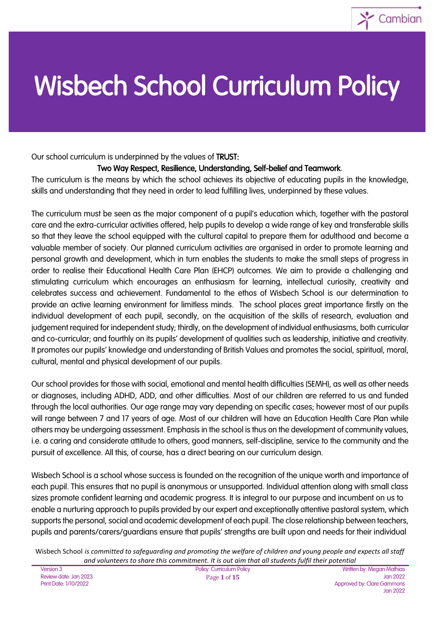

# Wisbech School Curriculum Policy

Our school curriculum is underpinned by the values of TRUST:

#### Two Way Respect, Resilience, Understanding, Self-belief and Teamwork.

The curriculum is the means by which the school achieves its objective of educating pupils in the knowledge, skills and understanding that they need in order to lead fulfilling lives, underpinned by these values.

The curriculum must be seen as the major component of a pupil's education which, together with the pastoral care and the extra-curricular activities offered, help pupils to develop a wide range of key and transferable skills so that they leave the school equipped with the cultural capital to prepare them for adulthood and become a valuable member of society. Our planned curriculum activities are organised in order to promote learning and personal growth and development, which in turn enables the students to make the small steps of progress in order to realise their Educational Health Care Plan (EHCP) outcomes. We aim to provide a challenging and stimulating curriculum which encourages an enthusiasm for learning, intellectual curiosity, creativity and celebrates success and achievement. Fundamental to the ethos of Wisbech School is our determination to provide an active learning environment for limitless minds. The school places great importance firstly on the individual development of each pupil, secondly, on the acquisition of the skills of research, evaluation and judgement required for independent study; thirdly, on the development of individual enthusiasms, both curricular and co-curricular; and fourthly on its pupils' development of qualities such as leadership, initiative and creativity. It promotes our pupils' knowledge and understanding of British Values and promotes the social, spiritual, moral, cultural, mental and physical development of our pupils.

Our school provides for those with social, emotional and mental health difficulties (SEMH), as well as other needs or diagnoses, including ADHD, ADD, and other difficulties. Most of our children are referred to us and funded through the local authorities. Our age range may vary depending on specific cases; however most of our pupils will range between 7 and 17 years of age. Most of our children will have an Education Health Care Plan while others may be undergoing assessment. Emphasis in the school is thus on the development of community values, i.e. a caring and considerate attitude to others, good manners, self-discipline, service to the community and the pursuit of excellence. All this, of course, has a direct bearing on our curriculum design.

Wisbech School is a school whose success is founded on the recognition of the unique worth and importance of each pupil. This ensures that no pupil is anonymous or unsupported. Individual attention along with small class sizes promote confident learning and academic progress. It is integral to our purpose and incumbent on us to enable a nurturing approach to pupils provided by our expert and exceptionally attentive pastoral system, which supports the personal, social and academic development of each pupil. The close relationship between teachers, pupils and parents/carers/guardians ensure that pupils' strengths are built upon and needs for their individual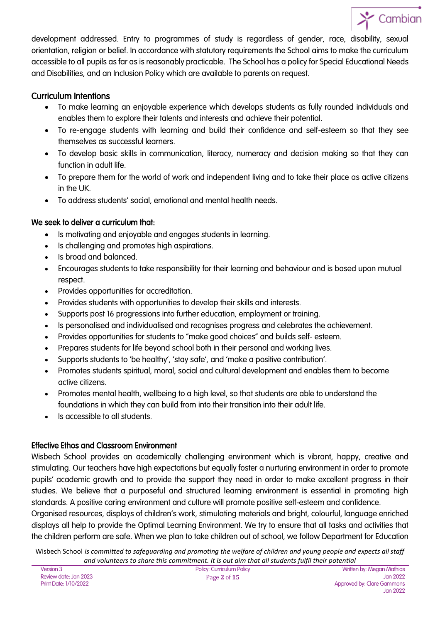

development addressed. Entry to programmes of study is regardless of gender, race, disability, sexual orientation, religion or belief. In accordance with statutory requirements the School aims to make the curriculum accessible to all pupils as far as is reasonably practicable. The School has a policy for Special Educational Needs and Disabilities, and an Inclusion Policy which are available to parents on request.

#### Curriculum Intentions

- To make learning an enjoyable experience which develops students as fully rounded individuals and enables them to explore their talents and interests and achieve their potential.
- To re-engage students with learning and build their confidence and self-esteem so that they see themselves as successful learners.
- To develop basic skills in communication, literacy, numeracy and decision making so that they can function in adult life.
- To prepare them for the world of work and independent living and to take their place as active citizens in the UK.
- To address students' social, emotional and mental health needs.

#### We seek to deliver a curriculum that:

- Is motivating and enjoyable and engages students in learning.
- Is challenging and promotes high aspirations.
- Is broad and balanced.
- Encourages students to take responsibility for their learning and behaviour and is based upon mutual respect.
- Provides opportunities for accreditation.
- Provides students with opportunities to develop their skills and interests.
- Supports post 16 progressions into further education, employment or training.
- Is personalised and individualised and recognises progress and celebrates the achievement.
- Provides opportunities for students to "make good choices" and builds self- esteem.
- Prepares students for life beyond school both in their personal and working lives.
- Supports students to 'be healthy', 'stay safe', and 'make a positive contribution'.
- Promotes students spiritual, moral, social and cultural development and enables them to become active citizens.
- Promotes mental health, wellbeing to a high level, so that students are able to understand the foundations in which they can build from into their transition into their adult life.
- Is accessible to all students.

#### Effective Ethos and Classroom Environment

Wisbech School provides an academically challenging environment which is vibrant, happy, creative and stimulating. Our teachers have high expectations but equally foster a nurturing environment in order to promote pupils' academic growth and to provide the support they need in order to make excellent progress in their studies. We believe that a purposeful and structured learning environment is essential in promoting high standards. A positive caring environment and culture will promote positive self-esteem and confidence.

Organised resources, displays of children's work, stimulating materials and bright, colourful, language enriched displays all help to provide the Optimal Learning Environment. We try to ensure that all tasks and activities that the children perform are safe. When we plan to take children out of school, we follow Department for Education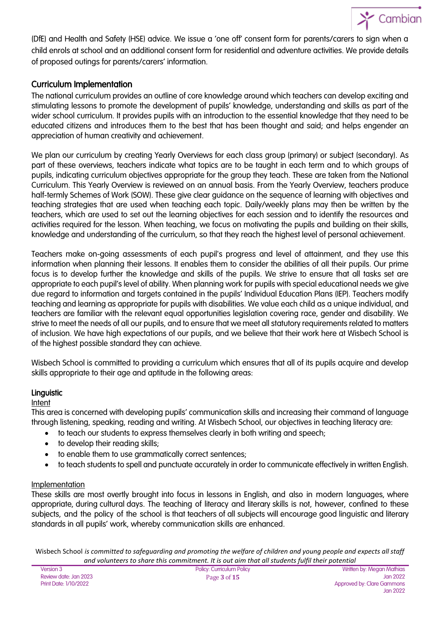

(DfE) and Health and Safety (HSE) advice. We issue a 'one off' consent form for parents/carers to sign when a child enrols at school and an additional consent form for residential and adventure activities. We provide details of proposed outings for parents/carers' information.

#### Curriculum Implementation

The national curriculum provides an outline of core knowledge around which teachers can develop exciting and stimulating lessons to promote the development of pupils' knowledge, understanding and skills as part of the wider school curriculum. It provides pupils with an introduction to the essential knowledge that they need to be educated citizens and introduces them to the best that has been thought and said; and helps engender an appreciation of human creativity and achievement.

We plan our curriculum by creating Yearly Overviews for each class group (primary) or subject (secondary). As part of these overviews, teachers indicate what topics are to be taught in each term and to which groups of pupils, indicating curriculum objectives appropriate for the group they teach. These are taken from the National Curriculum. This Yearly Overview is reviewed on an annual basis. From the Yearly Overview, teachers produce half-termly Schemes of Work (SOW). These give clear guidance on the sequence of learning with objectives and teaching strategies that are used when teaching each topic. Daily/weekly plans may then be written by the teachers, which are used to set out the learning objectives for each session and to identify the resources and activities required for the lesson. When teaching, we focus on motivating the pupils and building on their skills, knowledge and understanding of the curriculum, so that they reach the highest level of personal achievement.

Teachers make on-going assessments of each pupil's progress and level of attainment, and they use this information when planning their lessons. It enables them to consider the abilities of all their pupils. Our prime focus is to develop further the knowledge and skills of the pupils. We strive to ensure that all tasks set are appropriate to each pupil's level of ability. When planning work for pupils with special educational needs we give due regard to information and targets contained in the pupils' Individual Education Plans (IEP). Teachers modify teaching and learning as appropriate for pupils with disabilities. We value each child as a unique individual, and teachers are familiar with the relevant equal opportunities legislation covering race, gender and disability. We strive to meet the needs of all our pupils, and to ensure that we meet all statutory requirements related to matters of inclusion. We have high expectations of our pupils, and we believe that their work here at Wisbech School is of the highest possible standard they can achieve.

Wisbech School is committed to providing a curriculum which ensures that all of its pupils acquire and develop skills appropriate to their age and aptitude in the following areas:

#### Linguistic

#### Intent

This area is concerned with developing pupils' communication skills and increasing their command of language through listening, speaking, reading and writing. At Wisbech School, our objectives in teaching literacy are:

- to teach our students to express themselves clearly in both writing and speech;
- to develop their reading skills;
- to enable them to use grammatically correct sentences;
- to teach students to spell and punctuate accurately in order to communicate effectively in written English.

#### Implementation

These skills are most overtly brought into focus in lessons in English, and also in modern languages, where appropriate, during cultural days. The teaching of literacy and literary skills is not, however, confined to these subjects, and the policy of the school is that teachers of all subjects will encourage good linguistic and literary standards in all pupils' work, whereby communication skills are enhanced.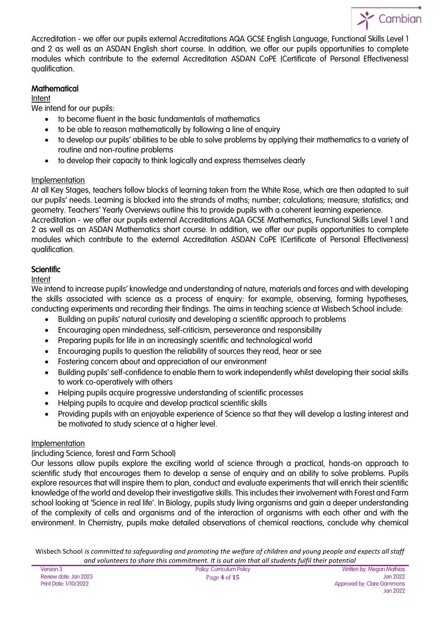

Accreditation - we offer our pupils external Accreditations AQA GCSE English Language, Functional Skills Level 1 and 2 as well as an ASDAN English short course. In addition, we offer our pupils opportunities to complete modules which contribute to the external Accreditation ASDAN CoPE (Certificate of Personal Effectiveness) qualification.

#### **Mathematical**

#### Intent

We intend for our pupils:

- to become fluent in the basic fundamentals of mathematics
- to be able to reason mathematically by following a line of enquiry
- to develop our pupils' abilities to be able to solve problems by applying their mathematics to a variety of routine and non-routine problems
- to develop their capacity to think logically and express themselves clearly

#### Implementation

At all Key Stages, teachers follow blocks of learning taken from the White Rose, which are then adapted to suit our pupils' needs. Learning is blocked into the strands of maths; number; calculations; measure; statistics; and geometry. Teachers' Yearly Overviews outline this to provide pupils with a coherent learning experience.

Accreditation - we offer our pupils external Accreditations AQA GCSE Mathematics, Functional Skills Level 1 and 2 as well as an ASDAN Mathematics short course. In addition, we offer our pupils opportunities to complete modules which contribute to the external Accreditation ASDAN CoPE (Certificate of Personal Effectiveness) qualification.

#### **Scientific**

#### Intent

We intend to increase pupils' knowledge and understanding of nature, materials and forces and with developing the skills associated with science as a process of enquiry: for example, observing, forming hypotheses, conducting experiments and recording their findings. The aims in teaching science at Wisbech School include:

- Building on pupils' natural curiosity and developing a scientific approach to problems
- Encouraging open mindedness, self-criticism, perseverance and responsibility
- Preparing pupils for life in an increasingly scientific and technological world
- Encouraging pupils to question the reliability of sources they read, hear or see
- Fostering concern about and appreciation of our environment
- Building pupils' self-confidence to enable them to work independently whilst developing their social skills to work co-operatively with others
- Helping pupils acquire progressive understanding of scientific processes
- Helping pupils to acquire and develop practical scientific skills
- Providing pupils with an enjoyable experience of Science so that they will develop a lasting interest and be motivated to study science at a higher level.

#### Implementation

#### (including Science, forest and Farm School)

Our lessons allow pupils explore the exciting world of science through a practical, hands-on approach to scientific study that encourages them to develop a sense of enquiry and an ability to solve problems. Pupils explore resources that will inspire them to plan, conduct and evaluate experiments that will enrich their scientific knowledge of the world and develop their investigative skills. This includes their involvement with Forest and Farm school looking at 'Science in real life'. In Biology, pupils study living organisms and gain a deeper understanding of the complexity of cells and organisms and of the interaction of organisms with each other and with the environment. In Chemistry, pupils make detailed observations of chemical reactions, conclude why chemical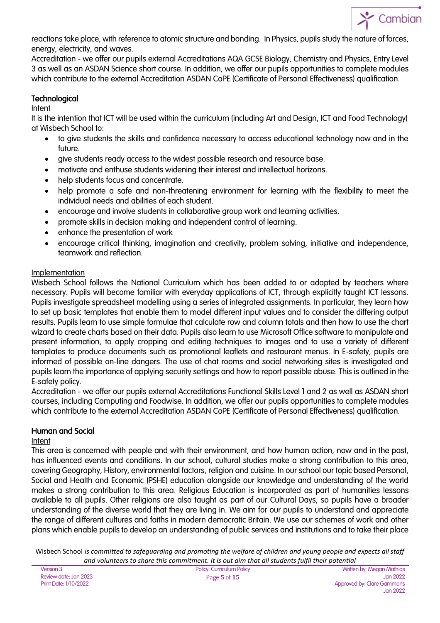

reactions take place, with reference to atomic structure and bonding. In Physics, pupils study the nature of forces, energy, electricity, and waves.

Accreditation - we offer our pupils external Accreditations AQA GCSE Biology, Chemistry and Physics, Entry Level 3 as well as an ASDAN Science short course. In addition, we offer our pupils opportunities to complete modules which contribute to the external Accreditation ASDAN CoPE (Certificate of Personal Effectiveness) qualification.

#### Technological

#### Intent

It is the intention that ICT will be used within the curriculum (including Art and Design, ICT and Food Technology) at Wisbech School to:

- to give students the skills and confidence necessary to access educational technology now and in the future.
- give students ready access to the widest possible research and resource base.
- motivate and enthuse students widening their interest and intellectual horizons.
- help students focus and concentrate.
- help promote a safe and non-threatening environment for learning with the flexibility to meet the individual needs and abilities of each student.
- encourage and involve students in collaborative group work and learning activities.
- promote skills in decision making and independent control of learning.
- enhance the presentation of work
- encourage critical thinking, imagination and creativity, problem solving, initiative and independence, teamwork and reflection.

#### Implementation

Wisbech School follows the National Curriculum which has been added to or adapted by teachers where necessary. Pupils will become familiar with everyday applications of ICT, through explicitly taught ICT lessons. Pupils investigate spreadsheet modelling using a series of integrated assignments. In particular, they learn how to set up basic templates that enable them to model different input values and to consider the differing output results. Pupils learn to use simple formulae that calculate row and column totals and then how to use the chart wizard to create charts based on their data. Pupils also learn to use Microsoft Office software to manipulate and present information, to apply cropping and editing techniques to images and to use a variety of different templates to produce documents such as promotional leaflets and restaurant menus. In E-safety, pupils are informed of possible on-line dangers. The use of chat rooms and social networking sites is investigated and pupils learn the importance of applying security settings and how to report possible abuse. This is outlined in the E-safety policy.

Accreditation - we offer our pupils external Accreditations Functional Skills Level 1 and 2 as well as ASDAN short courses, including Computing and Foodwise. In addition, we offer our pupils opportunities to complete modules which contribute to the external Accreditation ASDAN CoPE (Certificate of Personal Effectiveness) qualification.

#### Human and Social

#### Intent

This area is concerned with people and with their environment, and how human action, now and in the past, has influenced events and conditions. In our school, cultural studies make a strong contribution to this area, covering Geography, History, environmental factors, religion and cuisine. In our school our topic based Personal, Social and Health and Economic (PSHE) education alongside our knowledge and understanding of the world makes a strong contribution to this area. Religious Education is incorporated as part of humanities lessons available to all pupils. Other religions are also taught as part of our Cultural Days, so pupils have a broader understanding of the diverse world that they are living in. We aim for our pupils to understand and appreciate the range of different cultures and faiths in modern democratic Britain. We use our schemes of work and other plans which enable pupils to develop an understanding of public services and institutions and to take their place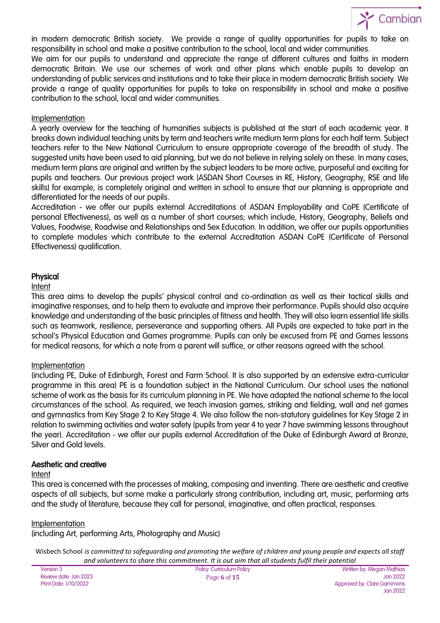

in modern democratic British society. We provide a range of quality opportunities for pupils to take on responsibility in school and make a positive contribution to the school, local and wider communities. We aim for our pupils to understand and appreciate the range of different cultures and faiths in modern democratic Britain. We use our schemes of work and other plans which enable pupils to develop an understanding of public services and institutions and to take their place in modern democratic British society. We provide a range of quality opportunities for pupils to take on responsibility in school and make a positive contribution to the school, local and wider communities.

#### Implementation

A yearly overview for the teaching of humanities subjects is published at the start of each academic year. It breaks down individual teaching units by term and teachers write medium term plans for each half term. Subject teachers refer to the New National Curriculum to ensure appropriate coverage of the breadth of study. The suggested units have been used to aid planning, but we do not believe in relying solely on these. In many cases, medium term plans are original and written by the subject leaders to be more active, purposeful and exciting for pupils and teachers. Our previous project work (ASDAN Short Courses in RE, History, Geography, RSE and life skills) for example, is completely original and written in school to ensure that our planning is appropriate and differentiated for the needs of our pupils.

Accreditation - we offer our pupils external Accreditations of ASDAN Employability and CoPE (Certificate of personal Effectiveness), as well as a number of short courses; which include, History, Geography, Beliefs and Values, Foodwise, Roadwise and Relationships and Sex Education. In addition, we offer our pupils opportunities to complete modules which contribute to the external Accreditation ASDAN CoPE (Certificate of Personal Effectiveness) qualification.

#### Physical

#### Intent

This area aims to develop the pupils' physical control and co-ordination as well as their tactical skills and imaginative responses, and to help them to evaluate and improve their performance. Pupils should also acquire knowledge and understanding of the basic principles of fitness and health. They will also learn essential life skills such as teamwork, resilience, perseverance and supporting others. All Pupils are expected to take part in the school's Physical Education and Games programme. Pupils can only be excused from PE and Games lessons for medical reasons, for which a note from a parent will suffice, or other reasons agreed with the school.

#### Implementation

(including PE, Duke of Edinburgh, Forest and Farm School. It is also supported by an extensive extra-curricular programme in this area) PE is a foundation subject in the National Curriculum. Our school uses the national scheme of work as the basis for its curriculum planning in PE. We have adapted the national scheme to the local circumstances of the school. As required, we teach invasion games, striking and fielding, wall and net games and gymnastics from Key Stage 2 to Key Stage 4. We also follow the non-statutory guidelines for Key Stage 2 in relation to swimming activities and water safety (pupils from year 4 to year 7 have swimming lessons throughout the year). Accreditation - we offer our pupils external Accreditation of the Duke of Edinburgh Award at Bronze, Silver and Gold levels.

#### Aesthetic and creative

#### Intent

This area is concerned with the processes of making, composing and inventing. There are aesthetic and creative aspects of all subjects, but some make a particularly strong contribution, including art, music, performing arts and the study of literature, because they call for personal, imaginative, and often practical, responses.

#### Implementation

(including Art, performing Arts, Photography and Music)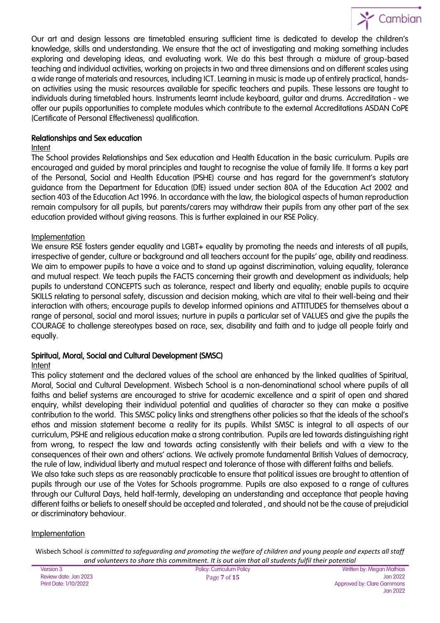

Our art and design lessons are timetabled ensuring sufficient time is dedicated to develop the children's knowledge, skills and understanding. We ensure that the act of investigating and making something includes exploring and developing ideas, and evaluating work. We do this best through a mixture of group-based teaching and individual activities, working on projects in two and three dimensions and on different scales using a wide range of materials and resources, including ICT. Learning in music is made up of entirely practical, handson activities using the music resources available for specific teachers and pupils. These lessons are taught to individuals during timetabled hours. Instruments learnt include keyboard, guitar and drums. Accreditation - we offer our pupils opportunities to complete modules which contribute to the external Accreditations ASDAN CoPE (Certificate of Personal Effectiveness) qualification.

#### Relationships and Sex education

#### **Intent**

The School provides Relationships and Sex education and Health Education in the basic curriculum. Pupils are encouraged and guided by moral principles and taught to recognise the value of family life. It forms a key part of the Personal, Social and Health Education (PSHE) course and has regard for the government's statutory guidance from the Department for Education (DfE) issued under section 80A of the Education Act 2002 and section 403 of the Education Act 1996. In accordance with the law, the biological aspects of human reproduction remain compulsory for all pupils, but parents/carers may withdraw their pupils from any other part of the sex education provided without giving reasons. This is further explained in our RSE Policy.

#### Implementation

We ensure RSE fosters gender equality and LGBT+ equality by promoting the needs and interests of all pupils, irrespective of gender, culture or background and all teachers account for the pupils' age, ability and readiness. We aim to empower pupils to have a voice and to stand up against discrimination, valuing equality, tolerance and mutual respect. We teach pupils the FACTS concerning their growth and development as individuals; help pupils to understand CONCEPTS such as tolerance, respect and liberty and equality; enable pupils to acquire SKILLS relating to personal safety, discussion and decision making, which are vital to their well-being and their interaction with others; encourage pupils to develop informed opinions and ATTITUDES for themselves about a range of personal, social and moral issues; nurture in pupils a particular set of VALUES and give the pupils the COURAGE to challenge stereotypes based on race, sex, disability and faith and to judge all people fairly and equally.

#### Spiritual, Moral, Social and Cultural Development (SMSC)

#### Intent

This policy statement and the declared values of the school are enhanced by the linked qualities of Spiritual, Moral, Social and Cultural Development. Wisbech School is a non-denominational school where pupils of all faiths and belief systems are encouraged to strive for academic excellence and a spirit of open and shared enquiry, whilst developing their individual potential and qualities of character so they can make a positive contribution to the world. This SMSC policy links and strengthens other policies so that the ideals of the school's ethos and mission statement become a reality for its pupils. Whilst SMSC is integral to all aspects of our curriculum, PSHE and religious education make a strong contribution. Pupils are led towards distinguishing right from wrong, to respect the law and towards acting consistently with their beliefs and with a view to the consequences of their own and others' actions. We actively promote fundamental British Values of democracy, the rule of law, individual liberty and mutual respect and tolerance of those with different faiths and beliefs.

We also take such steps as are reasonably practicable to ensure that political issues are brought to attention of pupils through our use of the Votes for Schools programme. Pupils are also exposed to a range of cultures through our Cultural Days, held half-termly, developing an understanding and acceptance that people having different faiths or beliefs to oneself should be accepted and tolerated , and should not be the cause of prejudicial or discriminatory behaviour.

#### Implementation

| <b>Version 3</b>      |
|-----------------------|
| Review date: Jan 2023 |
| Print Date: 1/10/2022 |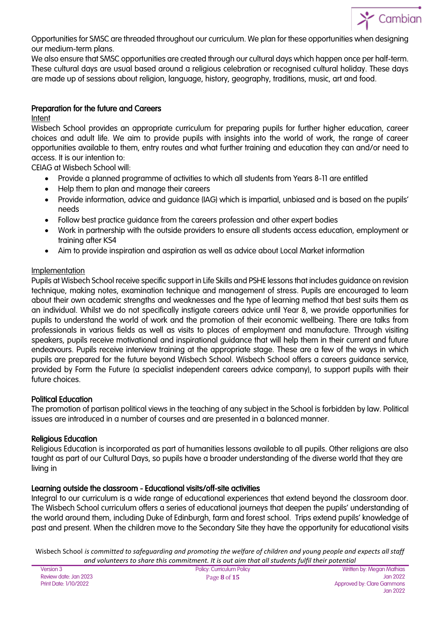

Opportunities for SMSC are threaded throughout our curriculum. We plan for these opportunities when designing our medium-term plans.

We also ensure that SMSC opportunities are created through our cultural days which happen once per half-term. These cultural days are usual based around a religious celebration or recognised cultural holiday. These days are made up of sessions about religion, language, history, geography, traditions, music, art and food.

#### Preparation for the future and Careers

Intent

Wisbech School provides an appropriate curriculum for preparing pupils for further higher education, career choices and adult life. We aim to provide pupils with insights into the world of work, the range of career opportunities available to them, entry routes and what further training and education they can and/or need to access. It is our intention to:

CEIAG at Wisbech School will:

- Provide a planned programme of activities to which all students from Years 8-11 are entitled
- Help them to plan and manage their careers
- Provide information, advice and guidance (IAG) which is impartial, unbiased and is based on the pupils' needs
- Follow best practice guidance from the careers profession and other expert bodies
- Work in partnership with the outside providers to ensure all students access education, employment or training after KS4
- Aim to provide inspiration and aspiration as well as advice about Local Market information

#### Implementation

Pupils at Wisbech School receive specific support in Life Skills and PSHE lessons that includes guidance on revision technique, making notes, examination technique and management of stress. Pupils are encouraged to learn about their own academic strengths and weaknesses and the type of learning method that best suits them as an individual. Whilst we do not specifically instigate careers advice until Year 8, we provide opportunities for pupils to understand the world of work and the promotion of their economic wellbeing. There are talks from professionals in various fields as well as visits to places of employment and manufacture. Through visiting speakers, pupils receive motivational and inspirational guidance that will help them in their current and future endeavours. Pupils receive interview training at the appropriate stage. These are a few of the ways in which pupils are prepared for the future beyond Wisbech School. Wisbech School offers a careers guidance service, provided by Form the Future (a specialist independent careers advice company), to support pupils with their future choices.

#### Political Education

The promotion of partisan political views in the teaching of any subject in the School is forbidden by law. Political issues are introduced in a number of courses and are presented in a balanced manner.

#### Religious Education

Religious Education is incorporated as part of humanities lessons available to all pupils. Other religions are also taught as part of our Cultural Days, so pupils have a broader understanding of the diverse world that they are living in

#### Learning outside the classroom - Educational visits/off-site activities

Integral to our curriculum is a wide range of educational experiences that extend beyond the classroom door. The Wisbech School curriculum offers a series of educational journeys that deepen the pupils' understanding of the world around them, including Duke of Edinburgh, farm and forest school. Trips extend pupils' knowledge of past and present. When the children move to the Secondary Site they have the opportunity for educational visits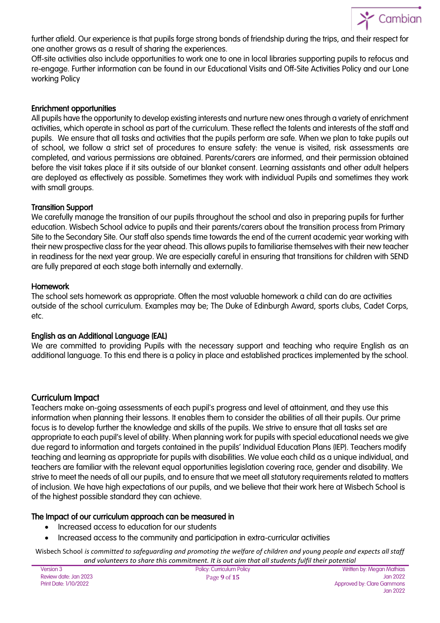

further afield. Our experience is that pupils forge strong bonds of friendship during the trips, and their respect for one another grows as a result of sharing the experiences.

Off-site activities also include opportunities to work one to one in local libraries supporting pupils to refocus and re-engage. Further information can be found in our Educational Visits and Off-Site Activities Policy and our Lone working Policy

#### Enrichment opportunities

All pupils have the opportunity to develop existing interests and nurture new ones through a variety of enrichment activities, which operate in school as part of the curriculum. These reflect the talents and interests of the staff and pupils. We ensure that all tasks and activities that the pupils perform are safe. When we plan to take pupils out of school, we follow a strict set of procedures to ensure safety: the venue is visited, risk assessments are completed, and various permissions are obtained. Parents/carers are informed, and their permission obtained before the visit takes place if it sits outside of our blanket consent. Learning assistants and other adult helpers are deployed as effectively as possible. Sometimes they work with individual Pupils and sometimes they work with small groups.

#### Transition Support

We carefully manage the transition of our pupils throughout the school and also in preparing pupils for further education. Wisbech School advice to pupils and their parents/carers about the transition process from Primary Site to the Secondary Site. Our staff also spends time towards the end of the current academic year working with their new prospective class for the year ahead. This allows pupils to familiarise themselves with their new teacher in readiness for the next year group. We are especially careful in ensuring that transitions for children with SEND are fully prepared at each stage both internally and externally.

#### Homework

The school sets homework as appropriate. Often the most valuable homework a child can do are activities outside of the school curriculum. Examples may be; The Duke of Edinburgh Award, sports clubs, Cadet Corps, etc.

#### English as an Additional Language (EAL)

We are committed to providing Pupils with the necessary support and teaching who require English as an additional language. To this end there is a policy in place and established practices implemented by the school.

#### Curriculum Impact

Teachers make on-going assessments of each pupil's progress and level of attainment, and they use this information when planning their lessons. It enables them to consider the abilities of all their pupils. Our prime focus is to develop further the knowledge and skills of the pupils. We strive to ensure that all tasks set are appropriate to each pupil's level of ability. When planning work for pupils with special educational needs we give due regard to information and targets contained in the pupils' Individual Education Plans (IEP). Teachers modify teaching and learning as appropriate for pupils with disabilities. We value each child as a unique individual, and teachers are familiar with the relevant equal opportunities legislation covering race, gender and disability. We strive to meet the needs of all our pupils, and to ensure that we meet all statutory requirements related to matters of inclusion. We have high expectations of our pupils, and we believe that their work here at Wisbech School is of the highest possible standard they can achieve.

#### The Impact of our curriculum approach can be measured in

- Increased access to education for our students
- Increased access to the community and participation in extra-curricular activities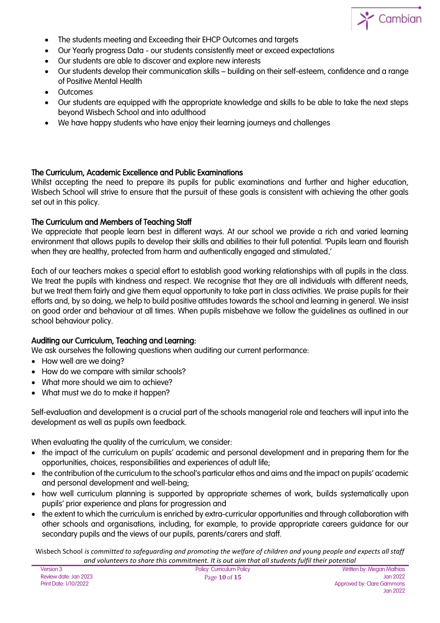

- The students meeting and Exceeding their EHCP Outcomes and targets
- Our Yearly progress Data our students consistently meet or exceed expectations
- Our students are able to discover and explore new interests
- Our students develop their communication skills building on their self-esteem, confidence and a range of Positive Mental Health
- **Outcomes**
- Our students are equipped with the appropriate knowledge and skills to be able to take the next steps beyond Wisbech School and into adulthood
- We have happy students who have enjoy their learning journeys and challenges

#### The Curriculum, Academic Excellence and Public Examinations

Whilst accepting the need to prepare its pupils for public examinations and further and higher education, Wisbech School will strive to ensure that the pursuit of these goals is consistent with achieving the other goals set out in this policy.

#### The Curriculum and Members of Teaching Staff

We appreciate that people learn best in different ways. At our school we provide a rich and varied learning environment that allows pupils to develop their skills and abilities to their full potential. 'Pupils learn and flourish when they are healthy, protected from harm and authentically engaged and stimulated.'

Each of our teachers makes a special effort to establish good working relationships with all pupils in the class. We treat the pupils with kindness and respect. We recognise that they are all individuals with different needs, but we treat them fairly and give them equal opportunity to take part in class activities. We praise pupils for their efforts and, by so doing, we help to build positive attitudes towards the school and learning in general. We insist on good order and behaviour at all times. When pupils misbehave we follow the guidelines as outlined in our school behaviour policy.

#### Auditing our Curriculum, Teaching and Learning:

We ask ourselves the following questions when auditing our current performance:

- How well are we doina?
- How do we compare with similar schools?
- What more should we aim to achieve?
- What must we do to make it happen?

Self-evaluation and development is a crucial part of the schools managerial role and teachers will input into the development as well as pupils own feedback.

When evaluating the quality of the curriculum, we consider:

- the impact of the curriculum on pupils' academic and personal development and in preparing them for the opportunities, choices, responsibilities and experiences of adult life;
- the contribution of the curriculum to the school's particular ethos and aims and the impact on pupils' academic and personal development and well-being;
- how well curriculum planning is supported by appropriate schemes of work, builds systematically upon pupils' prior experience and plans for progression and
- the extent to which the curriculum is enriched by extra-curricular opportunities and through collaboration with other schools and organisations, including, for example, to provide appropriate careers guidance for our secondary pupils and the views of our pupils, parents/carers and staff.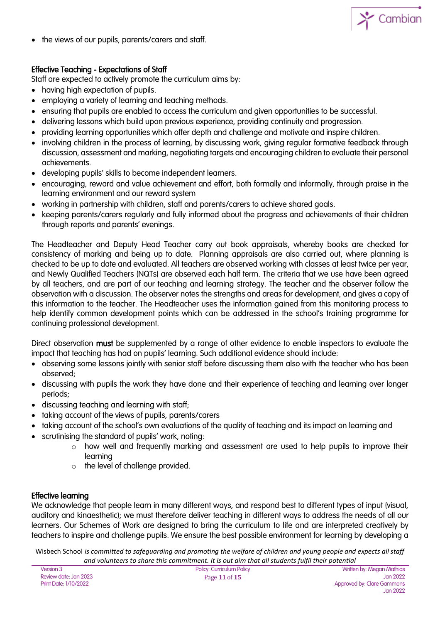

the views of our pupils, parents/carers and staff.

#### Effective Teaching - Expectations of Staff

Staff are expected to actively promote the curriculum aims by:

- having high expectation of pupils.
- employing a variety of learning and teaching methods.
- ensuring that pupils are enabled to access the curriculum and given opportunities to be successful.
- delivering lessons which build upon previous experience, providing continuity and progression.
- providing learning opportunities which offer depth and challenge and motivate and inspire children.
- involving children in the process of learning, by discussing work, giving regular formative feedback through discussion, assessment and marking, negotiating targets and encouraging children to evaluate their personal achievements.
- developing pupils' skills to become independent learners.
- encouraging, reward and value achievement and effort, both formally and informally, through praise in the learning environment and our reward system
- working in partnership with children, staff and parents/carers to achieve shared goals.
- keeping parents/carers regularly and fully informed about the progress and achievements of their children through reports and parents' evenings.

The Headteacher and Deputy Head Teacher carry out book appraisals, whereby books are checked for consistency of marking and being up to date. Planning appraisals are also carried out, where planning is checked to be up to date and evaluated. All teachers are observed working with classes at least twice per year, and Newly Qualified Teachers (NQTs) are observed each half term. The criteria that we use have been agreed by all teachers, and are part of our teaching and learning strategy. The teacher and the observer follow the observation with a discussion. The observer notes the strengths and areas for development, and gives a copy of this information to the teacher. The Headteacher uses the information gained from this monitoring process to help identify common development points which can be addressed in the school's training programme for continuing professional development.

Direct observation must be supplemented by a range of other evidence to enable inspectors to evaluate the impact that teaching has had on pupils' learning. Such additional evidence should include:

- observing some lessons jointly with senior staff before discussing them also with the teacher who has been observed;
- discussing with pupils the work they have done and their experience of teaching and learning over longer periods;
- discussing teaching and learning with staff;
- taking account of the views of pupils, parents/carers
- taking account of the school's own evaluations of the quality of teaching and its impact on learning and
- scrutinising the standard of pupils' work, noting:
	- $\circ$  how well and frequently marking and assessment are used to help pupils to improve their learning
	- o the level of challenge provided.

#### Effective learning

We acknowledge that people learn in many different ways, and respond best to different types of input (visual, auditory and kinaesthetic); we must therefore deliver teaching in different ways to address the needs of all our learners. Our Schemes of Work are designed to bring the curriculum to life and are interpreted creatively by teachers to inspire and challenge pupils. We ensure the best possible environment for learning by developing a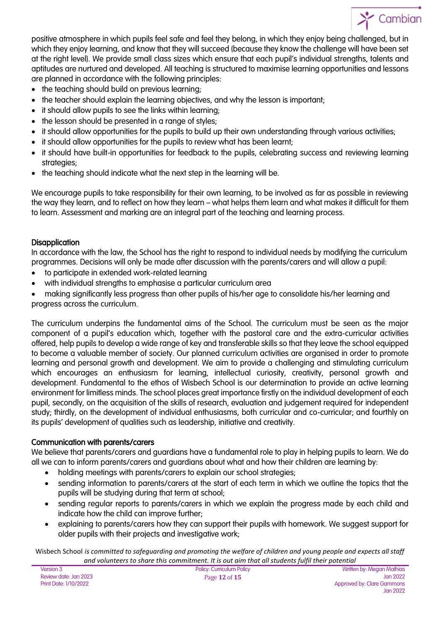

positive atmosphere in which pupils feel safe and feel they belong, in which they enjoy being challenged, but in which they enjoy learning, and know that they will succeed (because they know the challenge will have been set at the right level). We provide small class sizes which ensure that each pupil's individual strengths, talents and aptitudes are nurtured and developed. All teaching is structured to maximise learning opportunities and lessons are planned in accordance with the following principles:

- the teaching should build on previous learning;
- the teacher should explain the learning objectives, and why the lesson is important;
- it should allow pupils to see the links within learning;
- the lesson should be presented in a range of styles;
- it should allow opportunities for the pupils to build up their own understanding through various activities;
- it should allow opportunities for the pupils to review what has been learnt;
- it should have built-in opportunities for feedback to the pupils, celebrating success and reviewing learning strategies;
- the teaching should indicate what the next step in the learning will be.

We encourage pupils to take responsibility for their own learning, to be involved as far as possible in reviewing the way they learn, and to reflect on how they learn – what helps them learn and what makes it difficult for them to learn. Assessment and marking are an integral part of the teaching and learning process.

#### **Disapplication**

In accordance with the law, the School has the right to respond to individual needs by modifying the curriculum programmes. Decisions will only be made after discussion with the parents/carers and will allow a pupil:

- to participate in extended work-related learning
- with individual strengths to emphasise a particular curriculum area
- making significantly less progress than other pupils of his/her age to consolidate his/her learning and progress across the curriculum.

The curriculum underpins the fundamental aims of the School. The curriculum must be seen as the major component of a pupil's education which, together with the pastoral care and the extra-curricular activities offered, help pupils to develop a wide range of key and transferable skills so that they leave the school equipped to become a valuable member of society. Our planned curriculum activities are organised in order to promote learning and personal growth and development. We aim to provide a challenging and stimulating curriculum which encourages an enthusiasm for learning, intellectual curiosity, creativity, personal growth and development. Fundamental to the ethos of Wisbech School is our determination to provide an active learning environment for limitless minds. The school places great importance firstly on the individual development of each pupil, secondly, on the acquisition of the skills of research, evaluation and judgement required for independent study; thirdly, on the development of individual enthusiasms, both curricular and co-curricular; and fourthly on its pupils' development of qualities such as leadership, initiative and creativity.

#### Communication with parents/carers

We believe that parents/carers and guardians have a fundamental role to play in helping pupils to learn. We do all we can to inform parents/carers and guardians about what and how their children are learning by:

- holding meetings with parents/carers to explain our school strategies;
- sending information to parents/carers at the start of each term in which we outline the topics that the pupils will be studying during that term at school;
- sending regular reports to parents/carers in which we explain the progress made by each child and indicate how the child can improve further;
- explaining to parents/carers how they can support their pupils with homework. We suggest support for older pupils with their projects and investigative work;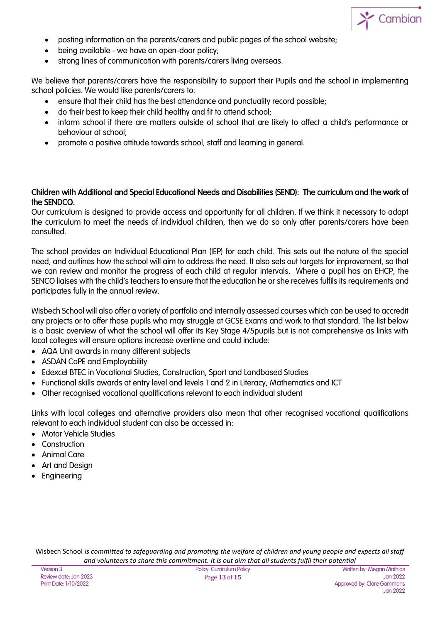

- posting information on the parents/carers and public pages of the school website;
- being available we have an open-door policy;
- strong lines of communication with parents/carers living overseas.

We believe that parents/carers have the responsibility to support their Pupils and the school in implementing school policies. We would like parents/carers to:

- ensure that their child has the best attendance and punctuality record possible;
- do their best to keep their child healthy and fit to attend school;
- inform school if there are matters outside of school that are likely to affect a child's performance or behaviour at school;
- promote a positive attitude towards school, staff and learning in general.

#### Children with Additional and Special Educational Needs and Disabilities (SEND): The curriculum and the work of the SENDCO.

Our curriculum is designed to provide access and opportunity for all children. If we think it necessary to adapt the curriculum to meet the needs of individual children, then we do so only after parents/carers have been consulted.

The school provides an Individual Educational Plan (IEP) for each child. This sets out the nature of the special need, and outlines how the school will aim to address the need. It also sets out targets for improvement, so that we can review and monitor the progress of each child at regular intervals. Where a pupil has an EHCP, the SENCO liaises with the child's teachers to ensure that the education he or she receives fulfils its requirements and participates fully in the annual review.

Wisbech School will also offer a variety of portfolio and internally assessed courses which can be used to accredit any projects or to offer those pupils who may struggle at GCSE Exams and work to that standard. The list below is a basic overview of what the school will offer its Key Stage 4/5pupils but is not comprehensive as links with local colleges will ensure options increase overtime and could include:

- AQA Unit awards in many different subjects
- ASDAN CoPE and Employability
- Edexcel BTEC in Vocational Studies, Construction, Sport and Landbased Studies
- Functional skills awards at entry level and levels 1 and 2 in Literacy, Mathematics and ICT
- Other recognised vocational qualifications relevant to each individual student

Links with local colleges and alternative providers also mean that other recognised vocational qualifications relevant to each individual student can also be accessed in:

- Motor Vehicle Studies
- Construction
- Animal Care
- Art and Design
- Engineering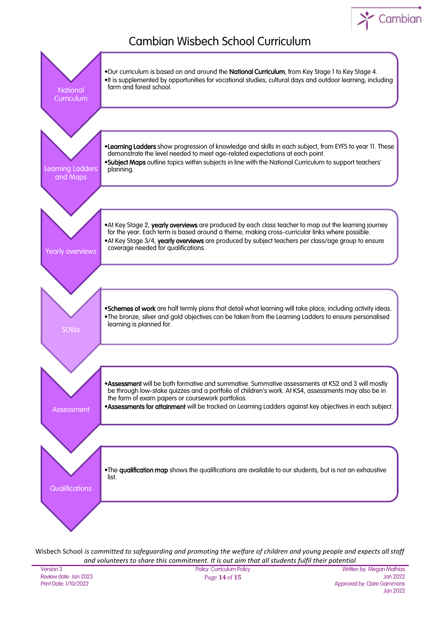## Cambian

### Cambian Wisbech School Curriculum